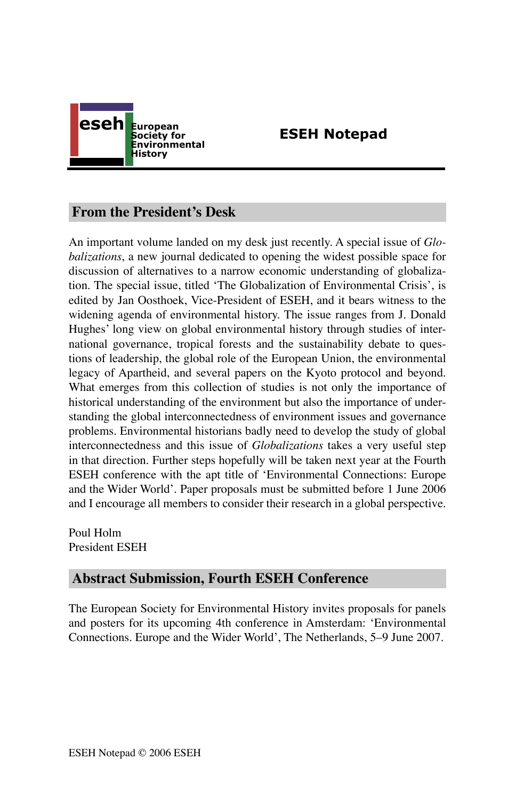

# **ESEH Notepad**

## **From the President's Desk**

An important volume landed on my desk just recently. A special issue of *Globalizations*, a new journal dedicated to opening the widest possible space for discussion of alternatives to a narrow economic understanding of globalization. The special issue, titled ʻThe Globalization of Environmental Crisis', is edited by Jan Oosthoek, Vice-President of ESEH, and it bears witness to the widening agenda of environmental history. The issue ranges from J. Donald Hughes' long view on global environmental history through studies of international governance, tropical forests and the sustainability debate to questions of leadership, the global role of the European Union, the environmental legacy of Apartheid, and several papers on the Kyoto protocol and beyond. What emerges from this collection of studies is not only the importance of historical understanding of the environment but also the importance of understanding the global interconnectedness of environment issues and governance problems. Environmental historians badly need to develop the study of global interconnectedness and this issue of *Globalizations* takes a very useful step in that direction. Further steps hopefully will be taken next year at the Fourth ESEH conference with the apt title of ʻEnvironmental Connections: Europe and the Wider World'. Paper proposals must be submitted before 1 June 2006 and I encourage all members to consider their research in a global perspective.

Poul Holm President ESEH

# **Abstract Submission, Fourth ESEH Conference**

The European Society for Environmental History invites proposals for panels and posters for its upcoming 4th conference in Amsterdam: ʻEnvironmental Connections. Europe and the Wider World', The Netherlands, 5–9 June 2007.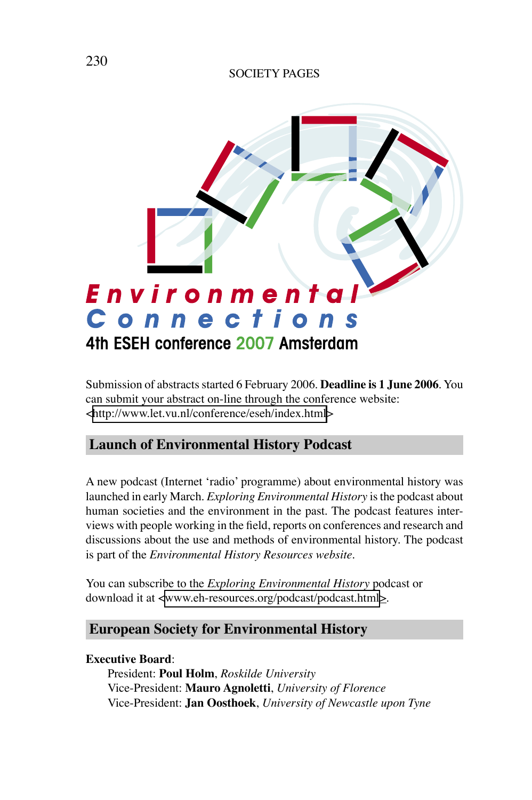### SOCIETY PAGES



Submission of abstracts started 6 February 2006. **Deadline is 1 June 2006**. You can submit your abstract on-line through the conference website: [<http://www.let.vu.nl/conference/eseh/index.html>](http://www.let.vu.nl/conference/eseh/index.html)

# **Launch of Environmental History Podcast**

A new podcast (Internet ʻradio' programme) about environmental history was launched in early March. *Exploring Environmental History* is the podcast about human societies and the environment in the past. The podcast features interviews with people working in the field, reports on conferences and research and discussions about the use and methods of environmental history. The podcast is part of the *Environmental History Resources website*.

You can subscribe to the *Exploring Environmental History* podcast or download it at [<www.eh-resources.org/podcast/podcast.html](http://www.eh-resources.org/podcast/podcast.html)>.

# **European Society for Environmental History**

### **Executive Board**:

President: **Poul Holm**, *Roskilde University* Vice-President: **Mauro Agnoletti**, *University of Florence* Vice-President: **Jan Oosthoek**, *University of Newcastle upon Tyne*